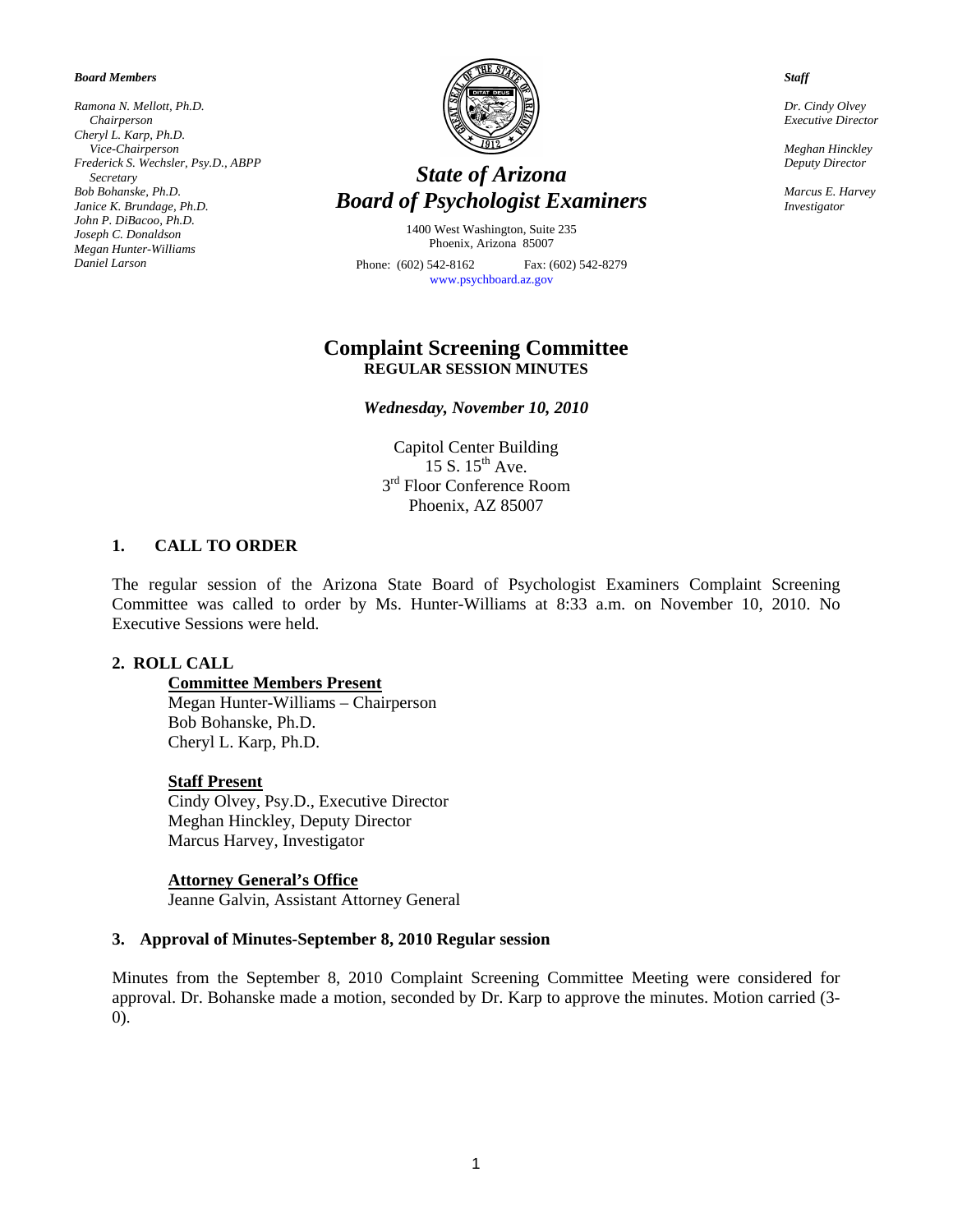*Board Members* 

*Ramona N. Mellott, Ph.D. Chairperson Cheryl L. Karp, Ph.D. Vice-Chairperson Frederick S. Wechsler, Psy.D., ABPP Secretary Bob Bohanske, Ph.D. Janice K. Brundage, Ph.D. John P. DiBacoo, Ph.D. Joseph C. Donaldson Megan Hunter-Williams Daniel Larson* 



# *State of Arizona Board of Psychologist Examiners*

1400 West Washington, Suite 235 Phoenix, Arizona 85007

Phone: (602) 542-8162 Fax: (602) 542-8279 [www.psychboard.az.gov](http://www.psychboard.az.gov/) 

# **Complaint Screening Committee REGULAR SESSION MINUTES**

*Wednesday, November 10, 2010* 

Capitol Center Building 15 S.  $15<sup>th</sup>$  Ave. 3rd Floor Conference Room Phoenix, AZ 85007

#### **1. CALL TO ORDER**

The regular session of the Arizona State Board of Psychologist Examiners Complaint Screening Committee was called to order by Ms. Hunter-Williams at 8:33 a.m. on November 10, 2010. No Executive Sessions were held.

#### **2. ROLL CALL**

### **Committee Members Present**

Megan Hunter-Williams – Chairperson Bob Bohanske, Ph.D. Cheryl L. Karp, Ph.D.

#### **Staff Present**

Cindy Olvey, Psy.D., Executive Director Meghan Hinckley, Deputy Director Marcus Harvey, Investigator

#### **Attorney General's Office**

Jeanne Galvin, Assistant Attorney General

#### **3. Approval of Minutes-September 8, 2010 Regular session**

Minutes from the September 8, 2010 Complaint Screening Committee Meeting were considered for approval. Dr. Bohanske made a motion, seconded by Dr. Karp to approve the minutes. Motion carried (3- 0).

*Staff* 

*Dr. Cindy Olvey Executive Director* 

*Meghan Hinckley Deputy Director* 

*Marcus E. Harvey Investigator*